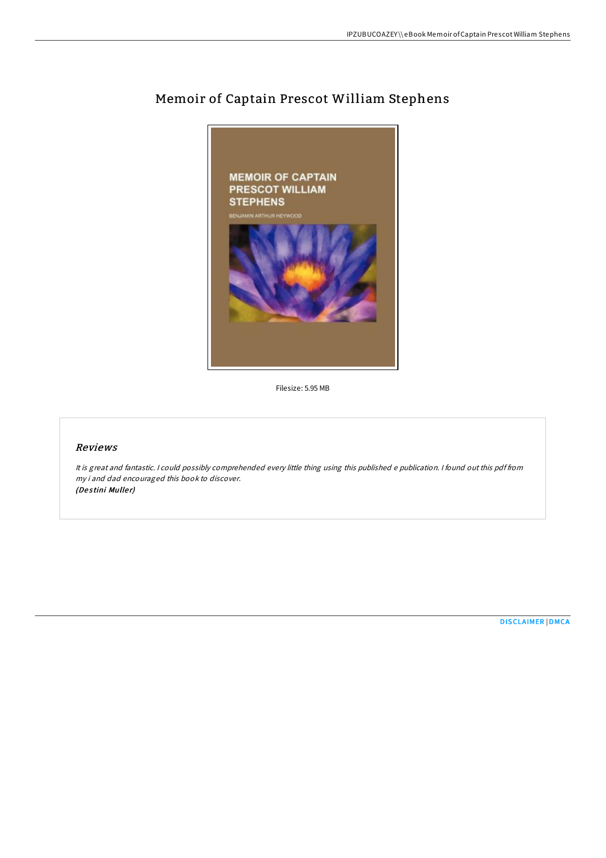

## Memoir of Captain Prescot William Stephens

Filesize: 5.95 MB

## Reviews

It is great and fantastic. <sup>I</sup> could possibly comprehended every little thing using this published <sup>e</sup> publication. <sup>I</sup> found out this pdf from my i and dad encouraged this book to discover. (Destini Muller)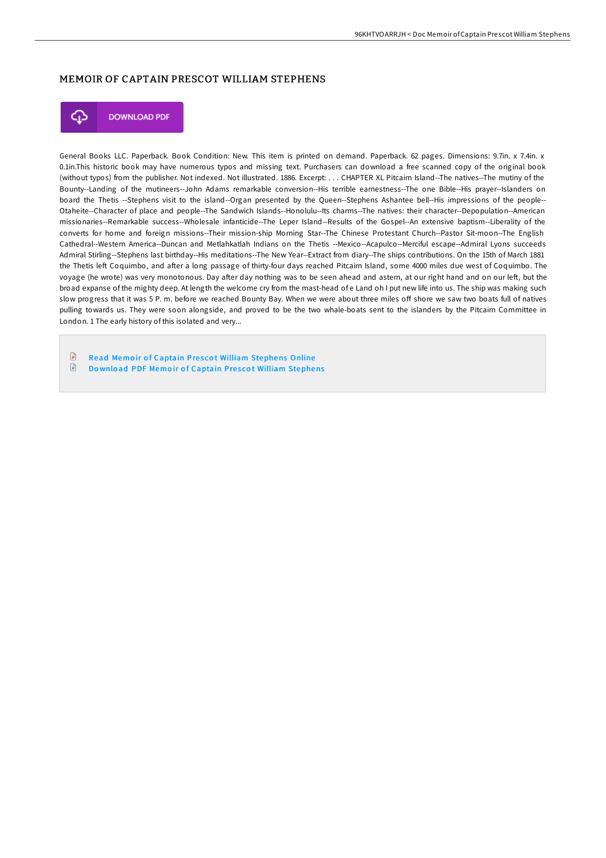## MEMOIR OF CAPTAIN PRESCOT WILLIAM STEPHENS



**DOWNLOAD PDF** 

General Books LLC. Paperback. Book Condition: New. This item is printed on demand. Paperback. 62 pages. Dimensions: 9.7in. x 7.4in. x 0.1in.This historic book may have numerous typos and missing text. Purchasers can download a free scanned copy of the original book (without typos) from the publisher. Not indexed. Not illustrated. 1886. Excerpt: . . . CHAPTER XL Pitcairn Island--The natives--The mutiny of the Bounty--Landing of the mutineers--John Adams remarkable conversion--His terrible earnestness--The one Bible--His prayer--Islanders on board the Thetis --Stephens visit to the island--Organ presented by the Queen--Stephens Ashantee bell--His impressions of the people-- Otaheite--Character of place and people--The Sandwich Islands--Honolulu--Its charms--The natives: their character--Depopulation--American missionaries--Remarkable success--Wholesale infanticide--The Leper Island--Results of the Gospel--An extensive baptism--Liberality of the converts for home and foreign missions--Their mission-ship Morning Star--The Chinese Protestant Church--Pastor Sit-moon--The English Cathedral--Western America--Duncan and Metlahkatlah Indians on the Thetis --Mexico--Acapulco--Merciful escape--Admiral Lyons succeeds Admiral Stirling--Stephens last birthday--His meditations--The New Year--Extract from diary--The ships contributions. On the 15th of March 1881 the Thetis left Coquimbo, and after a long passage of thirty-four days reached Pitcairn Island, some 4000 miles due west of Coquimbo. The voyage (he wrote) was very monotonous. Day after day nothing was to be seen ahead and astern, at our right hand and on our left, but the broad expanse of the mighty deep. At length the welcome cry from the mast-head of e Land oh I put new life into us. The ship was making such slow progress that it was 5 P. m. before we reached Bounty Bay. When we were about three miles off shore we saw two boats full of natives pulling towards us. They were soon alongside, and proved to be the two whale-boats sent to the islanders by the Pitcairn Committee in London. 1 The early history of this isolated and very...

 $\Box$ Read Memoir of Captain Prescot William [Stephens](http://almighty24.tech/memoir-of-captain-prescot-william-stephens.html) Online

 $\mathbf{r}$ Download PDF Memoir of Captain Prescot William [Stephens](http://almighty24.tech/memoir-of-captain-prescot-william-stephens.html)